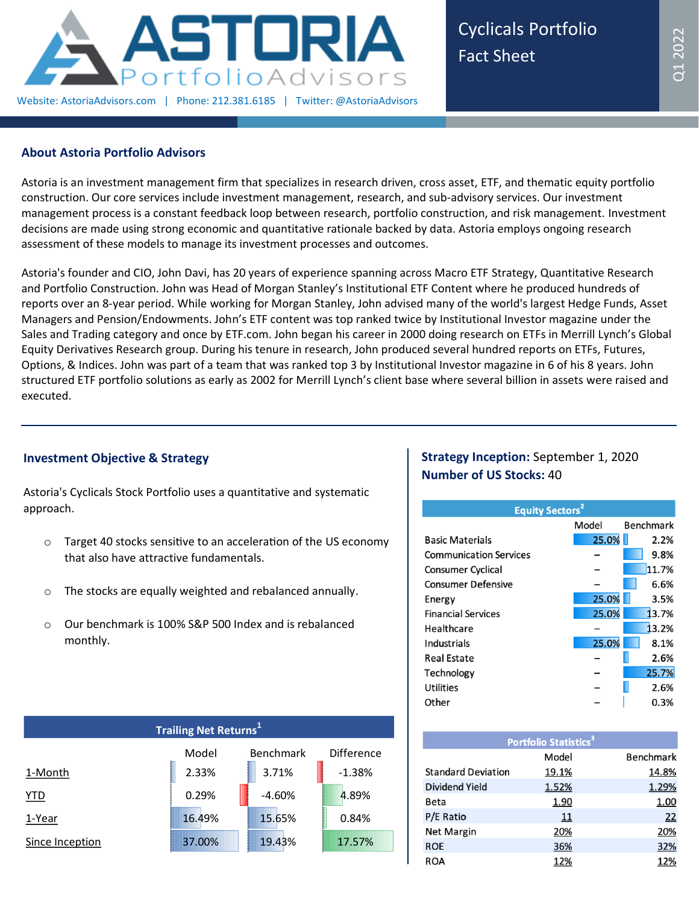

Cyclicals Portfolio Fact Sheet

## **About Astoria Portfolio Advisors**

Astoria is an investment management firm that specializes in research driven, cross asset, ETF, and thematic equity portfolio construction. Our core services include investment management, research, and sub-advisory services. Our investment management process is a constant feedback loop between research, portfolio construction, and risk management. Investment decisions are made using strong economic and quantitative rationale backed by data. Astoria employs ongoing research assessment of these models to manage its investment processes and outcomes.

Astoria's founder and CIO, John Davi, has 20 years of experience spanning across Macro ETF Strategy, Quantitative Research and Portfolio Construction. John was Head of Morgan Stanley's Institutional ETF Content where he produced hundreds of reports over an 8-year period. While working for Morgan Stanley, John advised many of the world's largest Hedge Funds, Asset Managers and Pension/Endowments. John's ETF content was top ranked twice by Institutional Investor magazine under the Sales and Trading category and once by ETF.com. John began his career in 2000 doing research on ETFs in Merrill Lynch's Global Equity Derivatives Research group. During his tenure in research, John produced several hundred reports on ETFs, Futures, Options, & Indices. John was part of a team that was ranked top 3 by Institutional Investor magazine in 6 of his 8 years. John structured ETF portfolio solutions as early as 2002 for Merrill Lynch's client base where several billion in assets were raised and executed.

# **Investment Objective & Strategy**

Astoria's Cyclicals Stock Portfolio uses a quantitative and systematic approach.

- o Target 40 stocks sensitive to an acceleration of the US economy that also have attractive fundamentals.
- o The stocks are equally weighted and rebalanced annually.
- o Our benchmark is 100% S&P 500 Index and is rebalanced monthly.

| <b>Trailing Net Returns</b> <sup>1</sup> |        |                  |                   |  |  |  |  |  |
|------------------------------------------|--------|------------------|-------------------|--|--|--|--|--|
|                                          | Model  | <b>Benchmark</b> | <b>Difference</b> |  |  |  |  |  |
| 1-Month                                  | 2.33%  | 3.71%            | $-1.38%$          |  |  |  |  |  |
| <u>YTD</u>                               | 0.29%  | $-4.60%$         | 4.89%             |  |  |  |  |  |
| 1-Year                                   | 16.49% | 15.65%           | 0.84%             |  |  |  |  |  |
| Since Inception                          | 37.00% | 19.43%           | 17.57%            |  |  |  |  |  |

# **Strategy Inception:** September 1, 2020 **Number of US Stocks:** 40

| <b>Equity Sectors<sup>2</sup></b> |       |                  |  |  |  |  |  |  |
|-----------------------------------|-------|------------------|--|--|--|--|--|--|
|                                   | Model | <b>Benchmark</b> |  |  |  |  |  |  |
| <b>Basic Materials</b>            | 25.0% | 2.2%             |  |  |  |  |  |  |
| <b>Communication Services</b>     |       | 9.8%             |  |  |  |  |  |  |
| <b>Consumer Cyclical</b>          |       | 11.7%            |  |  |  |  |  |  |
| <b>Consumer Defensive</b>         |       | 6.6%             |  |  |  |  |  |  |
| Energy                            | 25.0% | 3.5%             |  |  |  |  |  |  |
| <b>Financial Services</b>         | 25.0% | 13.7%            |  |  |  |  |  |  |
| Healthcare                        |       | 13.2%            |  |  |  |  |  |  |
| Industrials                       | 25.0% | 8.1%             |  |  |  |  |  |  |
| Real Estate                       |       | 2.6%             |  |  |  |  |  |  |
| Technology                        |       | 25.7%            |  |  |  |  |  |  |
| <b>Utilities</b>                  |       | 2.6%             |  |  |  |  |  |  |
| Other                             |       | 0.3%             |  |  |  |  |  |  |

| <b>Portfolio Statistics<sup>3</sup></b> |       |                  |  |  |  |  |  |
|-----------------------------------------|-------|------------------|--|--|--|--|--|
|                                         | Model | <b>Benchmark</b> |  |  |  |  |  |
| <b>Standard Deviation</b>               | 19.1% | 14.8%            |  |  |  |  |  |
| Dividend Yield                          | 1.52% | 1.29%            |  |  |  |  |  |
| Beta                                    | 1.90  | 1.00             |  |  |  |  |  |
| P/E Ratio                               | 11    | 22               |  |  |  |  |  |
| Net Margin                              | 20%   | 20%              |  |  |  |  |  |
| <b>ROE</b>                              | 36%   | 32%              |  |  |  |  |  |
| ROA                                     | 12%   | 12%              |  |  |  |  |  |